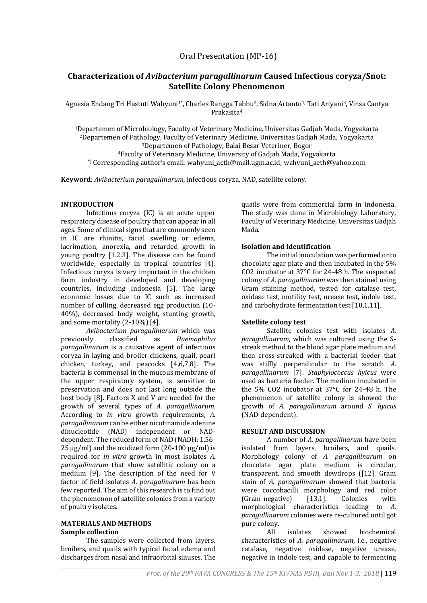# **Characterization of** *Avibacterium paragallinarum* **Caused Infectious coryza/Snot: Satellite Colony Phenomenon**

Agnesia Endang Tri Hastuti Wahyuni<sup>1\*</sup>, Charles Rangga Tabbu<sup>2</sup>, Sidna Artanto<sup>1,</sup> Tati Ariyani<sup>3</sup>, Vinsa Cantya Prakasita<sup>4</sup>

Departemen of Microbiology, Faculty of Veterinary Medicine, Universitas Gadjah Mada, Yogyakarta Departemen of Pathology, Faculty of Veterinary Medicine, Universitas Gadjah Mada, Yogyakarta Departemen of Pathology, Balai Besar Veteriner, Bogor Faculty of Veterinary Medicine, University of Gadjah Mada, Yogyakarta \*) Corresponding author's email: wahyuni\_aeth@mail.ugm.ac.id; wahyuni\_aeth@yahoo.com

**Keyword**: *Avibacterium paragallinarum,* infectious coryza, NAD, satellite colony.

#### **INTRODUCTION**

Infectious coryza (IC) is an acute upper respiratory disease of poultry that can appear in all ages. Some of clinical signs that are commonly seen in IC are rhinitis, facial swelling or edema, lacrimation, anorexia, and retarded growth in young poultry [1.2.3]. The disease can be found worldwide, especially in tropical countries [4]. Infectious coryza is very important in the chicken farm industry in developed and developing countries, including Indonesia [5]. The large economic losses due to IC such as increased number of culling, decreased egg production (10- 40%), decreased body weight, stunting growth, and some mortality (2-10%) [4].

*Avibacterium paragallinarum* which was previously classified as *Haemophilus paragallinarum* is a causative agent of infectious coryza in laying and broiler chickens, quail, pearl chicken, turkey, and peacocks [4,6,7,8]. The bacteria is commensal in the mucous membrane of the upper respiratory system, is sensitive to preservation and does not last long outside the host body [8]. Factors X and V are needed for the growth of several types of *A. paragallinarum*. According to *in vitro* growth requirements, *A. paragallinarum* can be either nicotinamide adenine dinucleotide (NAD) independent or NADdependent. The reduced form of NAD (NADH; 1.56- 25  $\mu$ g/ml) and the oxidized form (20-100  $\mu$ g/ml) is required for *in vitro* growth in most isolates *A. paragallinarum* that show satellitic colony on a medium [9]. The description of the need for V factor of field isolates *A. paragalinarum* has been few reported. The aim of this research is to find out the phenomenon of satellite colonies from a variety of poultry isolates.

#### **MATERIALS AND METHODS Sample collection**

The samples were collected from layers, broilers, and quails with typical facial edema and discharges from nasal and infraorbital sinuses. The quails were from commercial farm in Indonesia. The study was done in Microbiology Laboratory, Faculty of Veterinary Medicine, Universitas Gadjah Mada.

# **Isolation and identification**

The initial inoculation was performed onto chocolate agar plate and then incubated in the 5% CO2 incubator at 37°C for 24-48 h. The suspected colony of *A. paragallinarum* was then stained using Gram staining method, tested for catalase test, oxidase test, motility test, urease test, indole test, and carbohydrate fermentation test [10,1,11].

# **Satellite colony test**

Satellite colonies test with isolates *A. paragallinarum*, which was cultured using the Sstreak method to the blood agar plate medium and then cross-streaked with a bacterial feeder that was stiffly perpendicular to the scratch *A. paragallinarum* [7]. *Staphylococcus hyicus* were used as bacteria feeder. The medium incubated in the 5% CO2 incubator at 37°C for 24-48 h. The phenomenon of satellite colony is showed the growth of *A. paragallinarum* around *S. hyicus* (NAD-dependent).

# **RESULT AND DISCUSSION**

A number of *A. paragallinarum* have been isolated from layers, broilers, and quails. Morphology colony of *A. paragallinarum* on chocolate agar plate medium is circular, transparent, and smooth dewdrops ([12]. Gram stain of *A. paragallinarum* showed that bacteria were coccobacilli morphology and red color (Gram-negative) [13,1]. Colonies with morphological characteristics leading to *A. paragallinarum* colonies were re-cultured until got pure colony.

All isolates showed biochemical characteristics of *A. paragallinarum*, i.e., negative catalase, negative oxidase, negative urease, negative in indole test, and capable to fermenting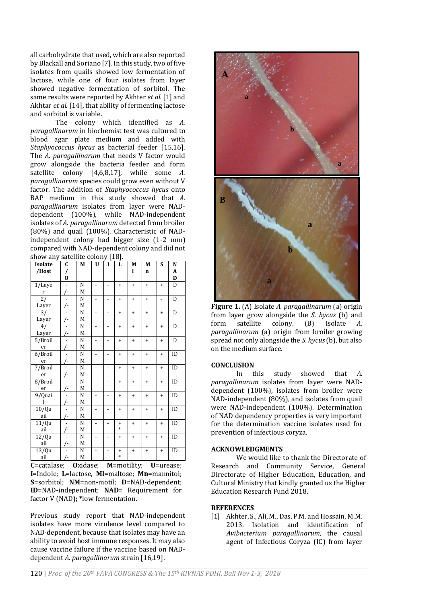all carbohydrate that used, which are also reported by Blackall and Soriano [7]. In this study, two of five isolates from quails showed low fermentation of lactose, while one of four isolates from layer showed negative fermentation of sorbitol. The same results were reported by Akhter *et al.* [1] and Akhtar *et al.* [14], that ability of fermenting lactose and sorbitol is variable.

The colony which identified as *A. paragallinarum* in biochemist test was cultured to blood agar plate medium and added with *Staphyococcus hycus* as bacterial feeder [15,16]. The *A. paragallinarum* that needs V factor would grow alongside the bacteria feeder and form satellite colony [4,6,8,17], while some *A. paragallinarum* species could grow even without V factor. The addition of *Staphyococcus hycus* onto BAP medium in this study showed that *A. paragallinarum* isolates from layer were NADdependent (100%), while NAD-independent isolates of *A. paragallinarum* detected from broiler (80%) and quail (100%). Characteristic of NADindependent colony had bigger size (1-2 mm) compared with NAD-dependent colony and did not show any satellite colony [18].

| Isolate  | $\overline{\mathfrak{c}}$ | M           | U                        | I                        | L         | M         | M           | S              | N  |
|----------|---------------------------|-------------|--------------------------|--------------------------|-----------|-----------|-------------|----------------|----|
| /Host    | /                         |             |                          |                          |           | ı         | $\mathbf n$ |                | A  |
|          | $\bf{0}$                  |             |                          |                          |           |           |             |                | D  |
| 1/Laye   | $\frac{1}{2}$             | N           | $\overline{\phantom{0}}$ | $\overline{a}$           | $\ddot{}$ | $\ddot{}$ | $+$         | $\ddot{}$      | D  |
| r        | /-                        | M           |                          |                          |           |           |             |                |    |
| 2/       |                           | N           | $\overline{\phantom{0}}$ | $\overline{a}$           | $\ddot{}$ | $\ddot{}$ | $\ddot{}$   | $\overline{a}$ | D  |
| Layer    | $\sqrt{2}$                | М           |                          |                          |           |           |             |                |    |
| 3/       |                           | N           | $\overline{\phantom{0}}$ | $\overline{a}$           | $\ddot{}$ | $\ddot{}$ | $\ddot{}$   | $\ddot{}$      | D  |
| Layer    | /-                        | M           |                          |                          |           |           |             |                |    |
| 4/       |                           | $\mathbf N$ | $\overline{a}$           | $\overline{a}$           | $\ddot{}$ | $\ddot{}$ | $\ddot{}$   | $+$            | D  |
| Layer    | /-                        | M           |                          |                          |           |           |             |                |    |
| 5/Broil  |                           | N           | $\overline{a}$           | $\overline{\phantom{0}}$ | $\ddot{}$ | $\ddot{}$ | $+$         | $+$            | D  |
| er       | /-                        | M           |                          |                          |           |           |             |                |    |
| 6/Broil  |                           | N           | $\overline{a}$           | $\overline{a}$           | $\ddot{}$ | $\ddot{}$ | $\ddot{}$   | $+$            | ID |
| er       | /-                        | M           |                          |                          |           |           |             |                |    |
| 7/Broil  |                           | N           |                          | $\overline{a}$           | $\ddot{}$ | $\ddot{}$ | $\ddot{}$   | $\ddot{}$      | ID |
| er       | /-                        | M           |                          |                          |           |           |             |                |    |
| 8/Broil  |                           | N           |                          | $\overline{a}$           | $\ddot{}$ | $\ddot{}$ | $\ddot{}$   | $+$            | ID |
| er       | /-                        | M           |                          |                          |           |           |             |                |    |
| 9/Quai   |                           | N           | $\overline{\phantom{0}}$ | $\overline{a}$           | $\ddot{}$ | $\ddot{}$ | $\ddot{}$   | $\ddot{}$      | ID |
| 1        | /-                        | M           |                          |                          |           |           |             |                |    |
| 10/Qu    |                           | N           | $\overline{a}$           | $\overline{a}$           | $\ddot{}$ | $+$       | $+$         | $\ddot{}$      | ID |
| ail      | $\sqrt{2}$                | M           |                          |                          |           |           |             |                |    |
| 11/Qu    |                           | N           | $\overline{\phantom{0}}$ | $\overline{a}$           | $\ddot{}$ | $\ddot{}$ | $\ddot{}$   | $\ddot{}$      | ID |
| ail      | $\frac{1}{2}$             | M           |                          |                          | $\ast$    |           |             |                |    |
| $12$ /Qu | $\overline{a}$            | N           | $\overline{\phantom{0}}$ |                          | $\ddot{}$ | $\ddot{}$ | $\ddot{}$   | $\ddot{}$      | ID |
| ail      | /-                        | M           |                          |                          |           |           |             |                |    |
| 13/Qu    |                           | N           | $\overline{\phantom{0}}$ | $\overline{\phantom{0}}$ | $\ddot{}$ | $+$       | $+$         | $\ddot{}$      | ID |
| ail      | /-                        | М           |                          |                          | $\ast$    |           |             |                |    |

**C**=catalase; **O**xidase; **M**=motility; **U**=urease; **I**=Indole; **L**=lactose, **Ml**=maltose; **Mn**=mannitol; **S**=sorbitol; **NM**=non-motil; **D**=NAD-dependent; **ID**=NAD-independent; **NAD**= Requirement for factor V (NAD)**; \***low fermentation.

Previous study report that NAD-independent isolates have more virulence level compared to NAD-dependent, because that isolates may have an ability to avoid host immune responses. It may also cause vaccine failure if the vaccine based on NADdependent *A. paragallinarum* strain [16,19].



**Figure 1.** (A) Isolate *A. paragallinarum* (a) origin from layer grow alongside the *S. hycus* (b) and form satellite colony. (B) Isolate *A. paragallinarum* (a) origin from broiler growing spread not only alongside the *S. hycus*(b), but also on the medium surface.

# **CONCLUSION**

In this study showed that *A. paragallinarum* isolates from layer were NADdependent (100%), isolates from broiler were NAD-independent (80%), and isolates from quail were NAD-independent (100%). Determination of NAD dependency properties is very important for the determination vaccine isolates used for prevention of infectious coryza.

#### **ACKNOWLEDGMENTS**

We would like to thank the Directorate of Research and Community Service, General Directorate of Higher Education, Education, and Cultural Ministry that kindly granted us the Higher Education Research Fund 2018.

#### **REFERENCES**

[1] Akhter, S., Ali, M., Das, P.M. and Hossain, M.M. 2013. Isolation and identification of *Avibacterium paragallinarum*, the causal agent of Infectious Coryza (IC) from layer